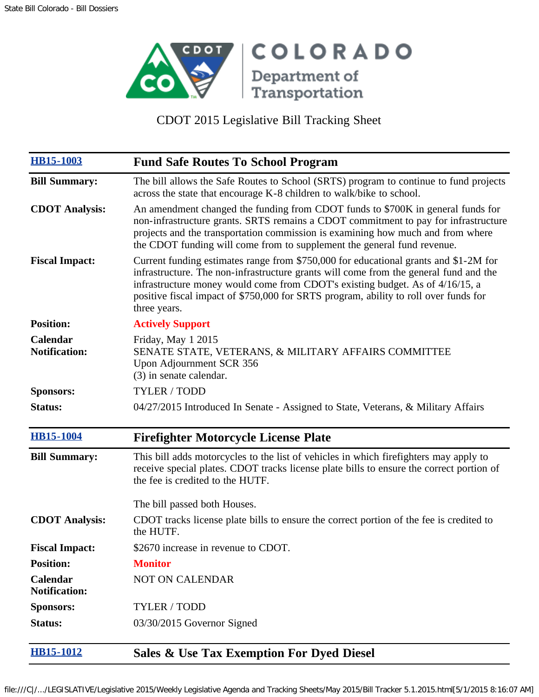

CDOT 2015 Legislative Bill Tracking Sheet

| <b>HB15-1003</b>                 | <b>Fund Safe Routes To School Program</b>                                                                                                                                                                                                                                                                                                                              |
|----------------------------------|------------------------------------------------------------------------------------------------------------------------------------------------------------------------------------------------------------------------------------------------------------------------------------------------------------------------------------------------------------------------|
| <b>Bill Summary:</b>             | The bill allows the Safe Routes to School (SRTS) program to continue to fund projects<br>across the state that encourage K-8 children to walk/bike to school.                                                                                                                                                                                                          |
| <b>CDOT</b> Analysis:            | An amendment changed the funding from CDOT funds to \$700K in general funds for<br>non-infrastructure grants. SRTS remains a CDOT commitment to pay for infrastructure<br>projects and the transportation commission is examining how much and from where<br>the CDOT funding will come from to supplement the general fund revenue.                                   |
| <b>Fiscal Impact:</b>            | Current funding estimates range from \$750,000 for educational grants and \$1-2M for<br>infrastructure. The non-infrastructure grants will come from the general fund and the<br>infrastructure money would come from CDOT's existing budget. As of 4/16/15, a<br>positive fiscal impact of \$750,000 for SRTS program, ability to roll over funds for<br>three years. |
| <b>Position:</b>                 | <b>Actively Support</b>                                                                                                                                                                                                                                                                                                                                                |
| Calendar<br><b>Notification:</b> | Friday, May 1 2015<br>SENATE STATE, VETERANS, & MILITARY AFFAIRS COMMITTEE<br>Upon Adjournment SCR 356<br>(3) in senate calendar.                                                                                                                                                                                                                                      |
| <b>Sponsors:</b>                 | <b>TYLER / TODD</b>                                                                                                                                                                                                                                                                                                                                                    |
| Status:                          | 04/27/2015 Introduced In Senate - Assigned to State, Veterans, & Military Affairs                                                                                                                                                                                                                                                                                      |
| <b>HB15-1004</b>                 | <b>Firefighter Motorcycle License Plate</b>                                                                                                                                                                                                                                                                                                                            |
| <b>Bill Summary:</b>             | This bill adds motorcycles to the list of vehicles in which firefighters may apply to<br>receive special plates. CDOT tracks license plate bills to ensure the correct portion of<br>the fee is credited to the HUTF.                                                                                                                                                  |
|                                  | The bill passed both Houses.                                                                                                                                                                                                                                                                                                                                           |
| <b>CDOT</b> Analysis:            | CDOT tracks license plate bills to ensure the correct portion of the fee is credited to<br>the HUTF.                                                                                                                                                                                                                                                                   |
| <b>Fiscal Impact:</b>            | \$2670 increase in revenue to CDOT.                                                                                                                                                                                                                                                                                                                                    |
| <b>Position:</b>                 | <b>Monitor</b>                                                                                                                                                                                                                                                                                                                                                         |
| Calendar<br><b>Notification:</b> | <b>NOT ON CALENDAR</b>                                                                                                                                                                                                                                                                                                                                                 |
| <b>Sponsors:</b>                 | <b>TYLER / TODD</b>                                                                                                                                                                                                                                                                                                                                                    |
| <b>Status:</b>                   | 03/30/2015 Governor Signed                                                                                                                                                                                                                                                                                                                                             |
| <b>HB15-1012</b>                 | Sales & Use Tax Exemption For Dyed Diesel                                                                                                                                                                                                                                                                                                                              |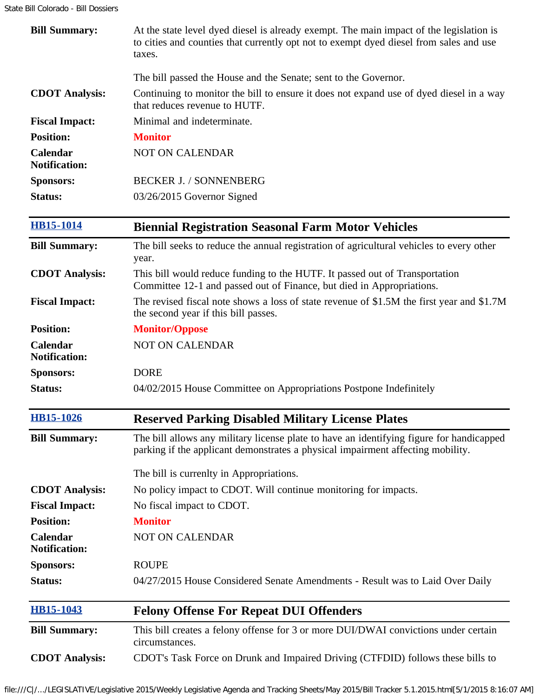| <b>Bill Summary:</b>                    | At the state level dyed diesel is already exempt. The main impact of the legislation is<br>to cities and counties that currently opt not to exempt dyed diesel from sales and use<br>taxes. |
|-----------------------------------------|---------------------------------------------------------------------------------------------------------------------------------------------------------------------------------------------|
|                                         | The bill passed the House and the Senate; sent to the Governor.                                                                                                                             |
| <b>CDOT</b> Analysis:                   | Continuing to monitor the bill to ensure it does not expand use of dyed diesel in a way<br>that reduces revenue to HUTF.                                                                    |
| <b>Fiscal Impact:</b>                   | Minimal and indeterminate.                                                                                                                                                                  |
| <b>Position:</b>                        | <b>Monitor</b>                                                                                                                                                                              |
| <b>Calendar</b><br><b>Notification:</b> | <b>NOT ON CALENDAR</b>                                                                                                                                                                      |
| <b>Sponsors:</b>                        | <b>BECKER J. / SONNENBERG</b>                                                                                                                                                               |
| <b>Status:</b>                          | 03/26/2015 Governor Signed                                                                                                                                                                  |
| <b>HB15-1014</b>                        | <b>Biennial Registration Seasonal Farm Motor Vehicles</b>                                                                                                                                   |
| <b>Bill Summary:</b>                    | The bill seeks to reduce the annual registration of agricultural vehicles to every other<br>year.                                                                                           |
| <b>CDOT</b> Analysis:                   | This bill would reduce funding to the HUTF. It passed out of Transportation<br>Committee 12-1 and passed out of Finance, but died in Appropriations.                                        |
| <b>Fiscal Impact:</b>                   | The revised fiscal note shows a loss of state revenue of \$1.5M the first year and \$1.7M<br>the second year if this bill passes.                                                           |
| <b>Position:</b>                        | <b>Monitor/Oppose</b>                                                                                                                                                                       |
| Calendar<br><b>Notification:</b>        | <b>NOT ON CALENDAR</b>                                                                                                                                                                      |
| <b>Sponsors:</b>                        | <b>DORE</b>                                                                                                                                                                                 |
| Status:                                 | 04/02/2015 House Committee on Appropriations Postpone Indefinitely                                                                                                                          |
| <b>HB15-1026</b>                        | <b>Reserved Parking Disabled Military License Plates</b>                                                                                                                                    |
| <b>Bill Summary:</b>                    | The bill allows any military license plate to have an identifying figure for handicapped<br>parking if the applicant demonstrates a physical impairment affecting mobility.                 |
|                                         | The bill is currenlty in Appropriations.                                                                                                                                                    |
| <b>CDOT Analysis:</b>                   | No policy impact to CDOT. Will continue monitoring for impacts.                                                                                                                             |
| <b>Fiscal Impact:</b>                   | No fiscal impact to CDOT.                                                                                                                                                                   |
| <b>Position:</b>                        | <b>Monitor</b>                                                                                                                                                                              |
| Calendar<br><b>Notification:</b>        | <b>NOT ON CALENDAR</b>                                                                                                                                                                      |
| <b>Sponsors:</b>                        | <b>ROUPE</b>                                                                                                                                                                                |
| Status:                                 | 04/27/2015 House Considered Senate Amendments - Result was to Laid Over Daily                                                                                                               |
| <b>HB15-1043</b>                        | <b>Felony Offense For Repeat DUI Offenders</b>                                                                                                                                              |
| <b>Bill Summary:</b>                    | This bill creates a felony offense for 3 or more DUI/DWAI convictions under certain<br>circumstances.                                                                                       |
| <b>CDOT</b> Analysis:                   | CDOT's Task Force on Drunk and Impaired Driving (CTFDID) follows these bills to                                                                                                             |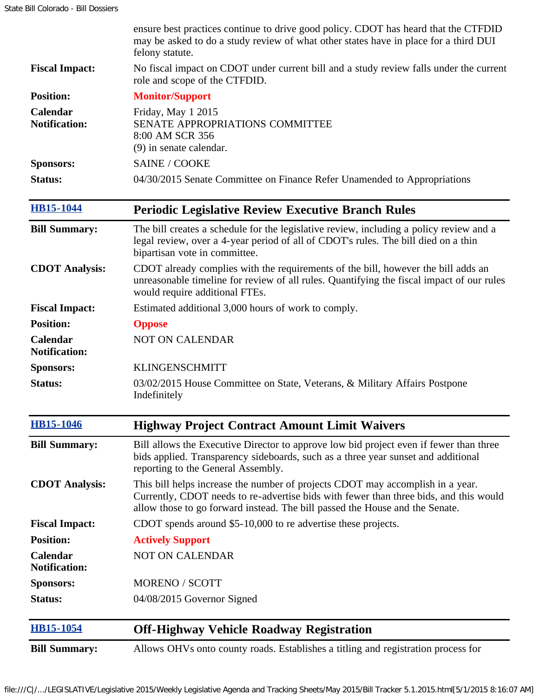|                                  | ensure best practices continue to drive good policy. CDOT has heard that the CTFDID<br>may be asked to do a study review of what other states have in place for a third DUI<br>felony statute.                                                          |
|----------------------------------|---------------------------------------------------------------------------------------------------------------------------------------------------------------------------------------------------------------------------------------------------------|
| <b>Fiscal Impact:</b>            | No fiscal impact on CDOT under current bill and a study review falls under the current<br>role and scope of the CTFDID.                                                                                                                                 |
| <b>Position:</b>                 | <b>Monitor/Support</b>                                                                                                                                                                                                                                  |
| Calendar<br><b>Notification:</b> | Friday, May 1 2015<br>SENATE APPROPRIATIONS COMMITTEE<br>8:00 AM SCR 356<br>(9) in senate calendar.                                                                                                                                                     |
| <b>Sponsors:</b>                 | <b>SAINE / COOKE</b>                                                                                                                                                                                                                                    |
| Status:                          | 04/30/2015 Senate Committee on Finance Refer Unamended to Appropriations                                                                                                                                                                                |
| <b>HB15-1044</b>                 | <b>Periodic Legislative Review Executive Branch Rules</b>                                                                                                                                                                                               |
| <b>Bill Summary:</b>             | The bill creates a schedule for the legislative review, including a policy review and a<br>legal review, over a 4-year period of all of CDOT's rules. The bill died on a thin<br>bipartisan vote in committee.                                          |
| <b>CDOT</b> Analysis:            | CDOT already complies with the requirements of the bill, however the bill adds an<br>unreasonable timeline for review of all rules. Quantifying the fiscal impact of our rules<br>would require additional FTEs.                                        |
| <b>Fiscal Impact:</b>            | Estimated additional 3,000 hours of work to comply.                                                                                                                                                                                                     |
| <b>Position:</b>                 | <b>Oppose</b>                                                                                                                                                                                                                                           |
| Calendar<br><b>Notification:</b> | <b>NOT ON CALENDAR</b>                                                                                                                                                                                                                                  |
| <b>Sponsors:</b>                 | <b>KLINGENSCHMITT</b>                                                                                                                                                                                                                                   |
| <b>Status:</b>                   | 03/02/2015 House Committee on State, Veterans, & Military Affairs Postpone<br>Indefinitely                                                                                                                                                              |
| <b>HB15-1046</b>                 | <b>Highway Project Contract Amount Limit Waivers</b>                                                                                                                                                                                                    |
| <b>Bill Summary:</b>             | Bill allows the Executive Director to approve low bid project even if fewer than three<br>bids applied. Transparency sideboards, such as a three year sunset and additional<br>reporting to the General Assembly.                                       |
| <b>CDOT</b> Analysis:            | This bill helps increase the number of projects CDOT may accomplish in a year.<br>Currently, CDOT needs to re-advertise bids with fewer than three bids, and this would<br>allow those to go forward instead. The bill passed the House and the Senate. |
| <b>Fiscal Impact:</b>            | CDOT spends around \$5-10,000 to re advertise these projects.                                                                                                                                                                                           |
| <b>Position:</b>                 | <b>Actively Support</b>                                                                                                                                                                                                                                 |
| Calendar<br><b>Notification:</b> | <b>NOT ON CALENDAR</b>                                                                                                                                                                                                                                  |
| <b>Sponsors:</b>                 | <b>MORENO / SCOTT</b>                                                                                                                                                                                                                                   |
| Status:                          | 04/08/2015 Governor Signed                                                                                                                                                                                                                              |
| <b>HB15-1054</b>                 | <b>Off-Highway Vehicle Roadway Registration</b>                                                                                                                                                                                                         |
| <b>Bill Summary:</b>             | Allows OHVs onto county roads. Establishes a titling and registration process for                                                                                                                                                                       |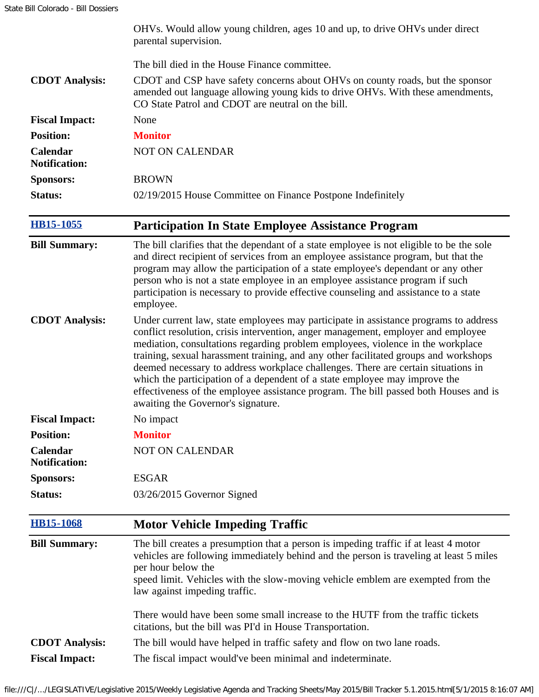|                                  | OHVs. Would allow young children, ages 10 and up, to drive OHVs under direct<br>parental supervision.                                                                                                                                                                                                                                                                                                                                                                                                                                                                                                                                                 |
|----------------------------------|-------------------------------------------------------------------------------------------------------------------------------------------------------------------------------------------------------------------------------------------------------------------------------------------------------------------------------------------------------------------------------------------------------------------------------------------------------------------------------------------------------------------------------------------------------------------------------------------------------------------------------------------------------|
|                                  | The bill died in the House Finance committee.                                                                                                                                                                                                                                                                                                                                                                                                                                                                                                                                                                                                         |
| <b>CDOT</b> Analysis:            | CDOT and CSP have safety concerns about OHVs on county roads, but the sponsor<br>amended out language allowing young kids to drive OHVs. With these amendments,<br>CO State Patrol and CDOT are neutral on the bill.                                                                                                                                                                                                                                                                                                                                                                                                                                  |
| <b>Fiscal Impact:</b>            | None                                                                                                                                                                                                                                                                                                                                                                                                                                                                                                                                                                                                                                                  |
| <b>Position:</b>                 | <b>Monitor</b>                                                                                                                                                                                                                                                                                                                                                                                                                                                                                                                                                                                                                                        |
| Calendar<br><b>Notification:</b> | NOT ON CALENDAR                                                                                                                                                                                                                                                                                                                                                                                                                                                                                                                                                                                                                                       |
| <b>Sponsors:</b>                 | <b>BROWN</b>                                                                                                                                                                                                                                                                                                                                                                                                                                                                                                                                                                                                                                          |
| Status:                          | 02/19/2015 House Committee on Finance Postpone Indefinitely                                                                                                                                                                                                                                                                                                                                                                                                                                                                                                                                                                                           |
| <b>HB15-1055</b>                 | <b>Participation In State Employee Assistance Program</b>                                                                                                                                                                                                                                                                                                                                                                                                                                                                                                                                                                                             |
| <b>Bill Summary:</b>             | The bill clarifies that the dependant of a state employee is not eligible to be the sole<br>and direct recipient of services from an employee assistance program, but that the<br>program may allow the participation of a state employee's dependant or any other<br>person who is not a state employee in an employee assistance program if such<br>participation is necessary to provide effective counseling and assistance to a state<br>employee.                                                                                                                                                                                               |
| <b>CDOT</b> Analysis:            | Under current law, state employees may participate in assistance programs to address<br>conflict resolution, crisis intervention, anger management, employer and employee<br>mediation, consultations regarding problem employees, violence in the workplace<br>training, sexual harassment training, and any other facilitated groups and workshops<br>deemed necessary to address workplace challenges. There are certain situations in<br>which the participation of a dependent of a state employee may improve the<br>effectiveness of the employee assistance program. The bill passed both Houses and is<br>awaiting the Governor's signature. |
| <b>Fiscal Impact:</b>            | No impact                                                                                                                                                                                                                                                                                                                                                                                                                                                                                                                                                                                                                                             |
| <b>Position:</b>                 | <b>Monitor</b>                                                                                                                                                                                                                                                                                                                                                                                                                                                                                                                                                                                                                                        |
| Calendar<br><b>Notification:</b> | <b>NOT ON CALENDAR</b>                                                                                                                                                                                                                                                                                                                                                                                                                                                                                                                                                                                                                                |
| <b>Sponsors:</b>                 | <b>ESGAR</b>                                                                                                                                                                                                                                                                                                                                                                                                                                                                                                                                                                                                                                          |
| Status:                          | 03/26/2015 Governor Signed                                                                                                                                                                                                                                                                                                                                                                                                                                                                                                                                                                                                                            |
| <b>HB15-1068</b>                 | <b>Motor Vehicle Impeding Traffic</b>                                                                                                                                                                                                                                                                                                                                                                                                                                                                                                                                                                                                                 |
| <b>Bill Summary:</b>             | The bill creates a presumption that a person is impeding traffic if at least 4 motor<br>vehicles are following immediately behind and the person is traveling at least 5 miles<br>per hour below the<br>speed limit. Vehicles with the slow-moving vehicle emblem are exempted from the<br>law against impeding traffic.                                                                                                                                                                                                                                                                                                                              |
|                                  | There would have been some small increase to the HUTF from the traffic tickets<br>citations, but the bill was PI'd in House Transportation.                                                                                                                                                                                                                                                                                                                                                                                                                                                                                                           |
| <b>CDOT</b> Analysis:            | The bill would have helped in traffic safety and flow on two lane roads.                                                                                                                                                                                                                                                                                                                                                                                                                                                                                                                                                                              |
| <b>Fiscal Impact:</b>            | The fiscal impact would've been minimal and indeterminate.                                                                                                                                                                                                                                                                                                                                                                                                                                                                                                                                                                                            |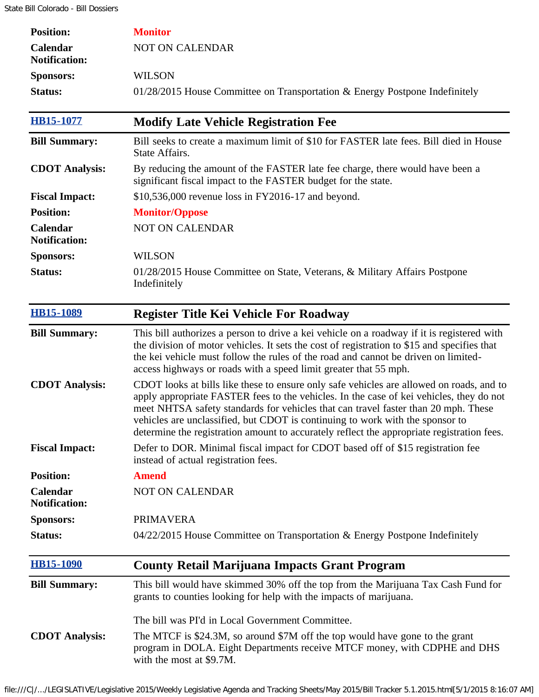| <b>Position:</b>                 | <b>Monitor</b>                                                                                                                                                                                                                                                                                                                                                                                                                                           |
|----------------------------------|----------------------------------------------------------------------------------------------------------------------------------------------------------------------------------------------------------------------------------------------------------------------------------------------------------------------------------------------------------------------------------------------------------------------------------------------------------|
| Calendar<br><b>Notification:</b> | NOT ON CALENDAR                                                                                                                                                                                                                                                                                                                                                                                                                                          |
| <b>Sponsors:</b>                 | <b>WILSON</b>                                                                                                                                                                                                                                                                                                                                                                                                                                            |
| Status:                          | 01/28/2015 House Committee on Transportation & Energy Postpone Indefinitely                                                                                                                                                                                                                                                                                                                                                                              |
| <b>HB15-1077</b>                 | <b>Modify Late Vehicle Registration Fee</b>                                                                                                                                                                                                                                                                                                                                                                                                              |
| <b>Bill Summary:</b>             | Bill seeks to create a maximum limit of \$10 for FASTER late fees. Bill died in House<br>State Affairs.                                                                                                                                                                                                                                                                                                                                                  |
| <b>CDOT</b> Analysis:            | By reducing the amount of the FASTER late fee charge, there would have been a<br>significant fiscal impact to the FASTER budget for the state.                                                                                                                                                                                                                                                                                                           |
| <b>Fiscal Impact:</b>            | \$10,536,000 revenue loss in FY2016-17 and beyond.                                                                                                                                                                                                                                                                                                                                                                                                       |
| <b>Position:</b>                 | <b>Monitor/Oppose</b>                                                                                                                                                                                                                                                                                                                                                                                                                                    |
| Calendar<br><b>Notification:</b> | <b>NOT ON CALENDAR</b>                                                                                                                                                                                                                                                                                                                                                                                                                                   |
| <b>Sponsors:</b>                 | <b>WILSON</b>                                                                                                                                                                                                                                                                                                                                                                                                                                            |
| Status:                          | 01/28/2015 House Committee on State, Veterans, & Military Affairs Postpone<br>Indefinitely                                                                                                                                                                                                                                                                                                                                                               |
| <b>HB15-1089</b>                 | <b>Register Title Kei Vehicle For Roadway</b>                                                                                                                                                                                                                                                                                                                                                                                                            |
| <b>Bill Summary:</b>             | This bill authorizes a person to drive a kei vehicle on a roadway if it is registered with<br>the division of motor vehicles. It sets the cost of registration to \$15 and specifies that<br>the kei vehicle must follow the rules of the road and cannot be driven on limited-<br>access highways or roads with a speed limit greater that 55 mph.                                                                                                      |
| <b>CDOT</b> Analysis:            | CDOT looks at bills like these to ensure only safe vehicles are allowed on roads, and to<br>apply appropriate FASTER fees to the vehicles. In the case of kei vehicles, they do not<br>meet NHTSA safety standards for vehicles that can travel faster than 20 mph. These<br>vehicles are unclassified, but CDOT is continuing to work with the sponsor to<br>determine the registration amount to accurately reflect the appropriate registration fees. |
| <b>Fiscal Impact:</b>            | Defer to DOR. Minimal fiscal impact for CDOT based off of \$15 registration fee<br>instead of actual registration fees.                                                                                                                                                                                                                                                                                                                                  |
| <b>Position:</b>                 | <b>Amend</b>                                                                                                                                                                                                                                                                                                                                                                                                                                             |
| Calendar<br><b>Notification:</b> | <b>NOT ON CALENDAR</b>                                                                                                                                                                                                                                                                                                                                                                                                                                   |
| <b>Sponsors:</b>                 | <b>PRIMAVERA</b>                                                                                                                                                                                                                                                                                                                                                                                                                                         |
| Status:                          | $04/22/2015$ House Committee on Transportation & Energy Postpone Indefinitely                                                                                                                                                                                                                                                                                                                                                                            |
| <b>HB15-1090</b>                 | <b>County Retail Marijuana Impacts Grant Program</b>                                                                                                                                                                                                                                                                                                                                                                                                     |
| <b>Bill Summary:</b>             | This bill would have skimmed 30% off the top from the Marijuana Tax Cash Fund for<br>grants to counties looking for help with the impacts of marijuana.                                                                                                                                                                                                                                                                                                  |
|                                  | The bill was PI'd in Local Government Committee.                                                                                                                                                                                                                                                                                                                                                                                                         |
| <b>CDOT</b> Analysis:            | The MTCF is \$24.3M, so around \$7M off the top would have gone to the grant<br>program in DOLA. Eight Departments receive MTCF money, with CDPHE and DHS<br>with the most at \$9.7M.                                                                                                                                                                                                                                                                    |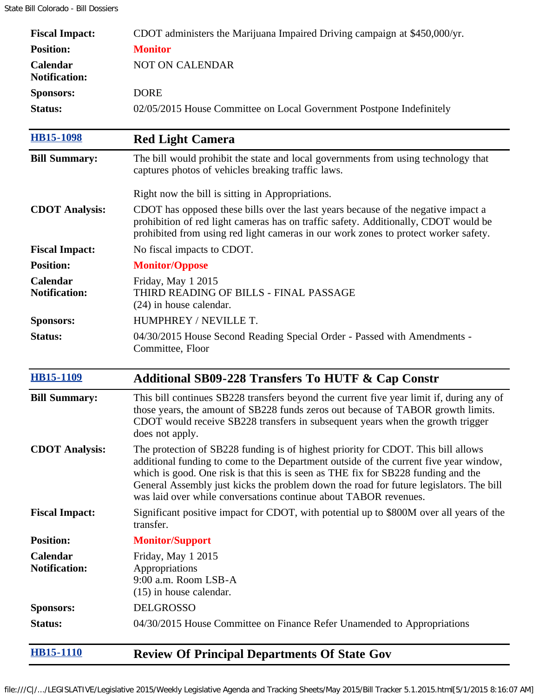| <b>Fiscal Impact:</b>            | CDOT administers the Marijuana Impaired Driving campaign at \$450,000/yr.                                                                                                                                                                                                                                                                                                                                                     |
|----------------------------------|-------------------------------------------------------------------------------------------------------------------------------------------------------------------------------------------------------------------------------------------------------------------------------------------------------------------------------------------------------------------------------------------------------------------------------|
| <b>Position:</b>                 | <b>Monitor</b>                                                                                                                                                                                                                                                                                                                                                                                                                |
| Calendar<br><b>Notification:</b> | <b>NOT ON CALENDAR</b>                                                                                                                                                                                                                                                                                                                                                                                                        |
| <b>Sponsors:</b>                 | <b>DORE</b>                                                                                                                                                                                                                                                                                                                                                                                                                   |
| Status:                          | 02/05/2015 House Committee on Local Government Postpone Indefinitely                                                                                                                                                                                                                                                                                                                                                          |
| <b>HB15-1098</b>                 | <b>Red Light Camera</b>                                                                                                                                                                                                                                                                                                                                                                                                       |
| <b>Bill Summary:</b>             | The bill would prohibit the state and local governments from using technology that<br>captures photos of vehicles breaking traffic laws.                                                                                                                                                                                                                                                                                      |
|                                  | Right now the bill is sitting in Appropriations.                                                                                                                                                                                                                                                                                                                                                                              |
| <b>CDOT</b> Analysis:            | CDOT has opposed these bills over the last years because of the negative impact a<br>prohibition of red light cameras has on traffic safety. Additionally, CDOT would be<br>prohibited from using red light cameras in our work zones to protect worker safety.                                                                                                                                                               |
| <b>Fiscal Impact:</b>            | No fiscal impacts to CDOT.                                                                                                                                                                                                                                                                                                                                                                                                    |
| <b>Position:</b>                 | <b>Monitor/Oppose</b>                                                                                                                                                                                                                                                                                                                                                                                                         |
| Calendar<br><b>Notification:</b> | Friday, May 1 2015<br>THIRD READING OF BILLS - FINAL PASSAGE<br>$(24)$ in house calendar.                                                                                                                                                                                                                                                                                                                                     |
| <b>Sponsors:</b>                 | HUMPHREY / NEVILLE T.                                                                                                                                                                                                                                                                                                                                                                                                         |
| Status:                          | 04/30/2015 House Second Reading Special Order - Passed with Amendments -<br>Committee, Floor                                                                                                                                                                                                                                                                                                                                  |
| <b>HB15-1109</b>                 | <b>Additional SB09-228 Transfers To HUTF &amp; Cap Constr</b>                                                                                                                                                                                                                                                                                                                                                                 |
| <b>Bill Summary:</b>             | This bill continues SB228 transfers beyond the current five year limit if, during any of<br>those years, the amount of SB228 funds zeros out because of TABOR growth limits.<br>CDOT would receive SB228 transfers in subsequent years when the growth trigger<br>does not apply.                                                                                                                                             |
| <b>CDOT</b> Analysis:            | The protection of SB228 funding is of highest priority for CDOT. This bill allows<br>additional funding to come to the Department outside of the current five year window,<br>which is good. One risk is that this is seen as THE fix for SB228 funding and the<br>General Assembly just kicks the problem down the road for future legislators. The bill<br>was laid over while conversations continue about TABOR revenues. |
| <b>Fiscal Impact:</b>            | Significant positive impact for CDOT, with potential up to \$800M over all years of the<br>transfer.                                                                                                                                                                                                                                                                                                                          |
| <b>Position:</b>                 | <b>Monitor/Support</b>                                                                                                                                                                                                                                                                                                                                                                                                        |
| Calendar<br><b>Notification:</b> | Friday, May 1 2015<br>Appropriations<br>9:00 a.m. Room LSB-A<br>$(15)$ in house calendar.                                                                                                                                                                                                                                                                                                                                     |
| <b>Sponsors:</b>                 | <b>DELGROSSO</b>                                                                                                                                                                                                                                                                                                                                                                                                              |
| Status:                          | 04/30/2015 House Committee on Finance Refer Unamended to Appropriations                                                                                                                                                                                                                                                                                                                                                       |
| <b>HB15-1110</b>                 | <b>Review Of Principal Departments Of State Gov</b>                                                                                                                                                                                                                                                                                                                                                                           |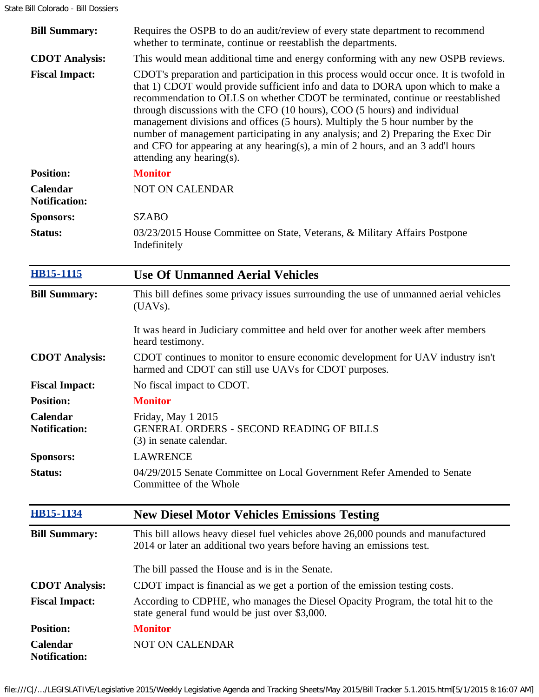| <b>Bill Summary:</b>             | Requires the OSPB to do an audit/review of every state department to recommend<br>whether to terminate, continue or reestablish the departments.                                                                                                                                                                                                                                                                                                                                                                                                                                                                                  |
|----------------------------------|-----------------------------------------------------------------------------------------------------------------------------------------------------------------------------------------------------------------------------------------------------------------------------------------------------------------------------------------------------------------------------------------------------------------------------------------------------------------------------------------------------------------------------------------------------------------------------------------------------------------------------------|
| <b>CDOT</b> Analysis:            | This would mean additional time and energy conforming with any new OSPB reviews.                                                                                                                                                                                                                                                                                                                                                                                                                                                                                                                                                  |
| <b>Fiscal Impact:</b>            | CDOT's preparation and participation in this process would occur once. It is twofold in<br>that 1) CDOT would provide sufficient info and data to DORA upon which to make a<br>recommendation to OLLS on whether CDOT be terminated, continue or reestablished<br>through discussions with the CFO (10 hours), COO (5 hours) and individual<br>management divisions and offices (5 hours). Multiply the 5 hour number by the<br>number of management participating in any analysis; and 2) Preparing the Exec Dir<br>and CFO for appearing at any hearing(s), a min of 2 hours, and an 3 add'l hours<br>attending any hearing(s). |
| <b>Position:</b>                 | <b>Monitor</b>                                                                                                                                                                                                                                                                                                                                                                                                                                                                                                                                                                                                                    |
| Calendar<br><b>Notification:</b> | <b>NOT ON CALENDAR</b>                                                                                                                                                                                                                                                                                                                                                                                                                                                                                                                                                                                                            |
| <b>Sponsors:</b>                 | <b>SZABO</b>                                                                                                                                                                                                                                                                                                                                                                                                                                                                                                                                                                                                                      |
| <b>Status:</b>                   | 03/23/2015 House Committee on State, Veterans, & Military Affairs Postpone<br>Indefinitely                                                                                                                                                                                                                                                                                                                                                                                                                                                                                                                                        |
| <b>HB15-1115</b>                 | <b>Use Of Unmanned Aerial Vehicles</b>                                                                                                                                                                                                                                                                                                                                                                                                                                                                                                                                                                                            |
| <b>Bill Summary:</b>             | This bill defines some privacy issues surrounding the use of unmanned aerial vehicles<br>$(UAVs)$ .                                                                                                                                                                                                                                                                                                                                                                                                                                                                                                                               |
|                                  | It was heard in Judiciary committee and held over for another week after members<br>heard testimony.                                                                                                                                                                                                                                                                                                                                                                                                                                                                                                                              |
| <b>CDOT</b> Analysis:            | CDOT continues to monitor to ensure economic development for UAV industry isn't<br>harmed and CDOT can still use UAVs for CDOT purposes.                                                                                                                                                                                                                                                                                                                                                                                                                                                                                          |
| <b>Fiscal Impact:</b>            | No fiscal impact to CDOT.                                                                                                                                                                                                                                                                                                                                                                                                                                                                                                                                                                                                         |
| <b>Position:</b>                 | <b>Monitor</b>                                                                                                                                                                                                                                                                                                                                                                                                                                                                                                                                                                                                                    |
| Calendar<br><b>Notification:</b> | Friday, May 1 2015<br><b>GENERAL ORDERS - SECOND READING OF BILLS</b><br>(3) in senate calendar.                                                                                                                                                                                                                                                                                                                                                                                                                                                                                                                                  |
| <b>Sponsors:</b>                 | <b>LAWRENCE</b>                                                                                                                                                                                                                                                                                                                                                                                                                                                                                                                                                                                                                   |
| Status:                          | 04/29/2015 Senate Committee on Local Government Refer Amended to Senate<br>Committee of the Whole                                                                                                                                                                                                                                                                                                                                                                                                                                                                                                                                 |
| <b>HB15-1134</b>                 | <b>New Diesel Motor Vehicles Emissions Testing</b>                                                                                                                                                                                                                                                                                                                                                                                                                                                                                                                                                                                |
| <b>Bill Summary:</b>             | This bill allows heavy diesel fuel vehicles above 26,000 pounds and manufactured<br>2014 or later an additional two years before having an emissions test.                                                                                                                                                                                                                                                                                                                                                                                                                                                                        |
|                                  | The bill passed the House and is in the Senate.                                                                                                                                                                                                                                                                                                                                                                                                                                                                                                                                                                                   |
| <b>CDOT</b> Analysis:            | CDOT impact is financial as we get a portion of the emission testing costs.                                                                                                                                                                                                                                                                                                                                                                                                                                                                                                                                                       |
| <b>Fiscal Impact:</b>            | According to CDPHE, who manages the Diesel Opacity Program, the total hit to the<br>state general fund would be just over \$3,000.                                                                                                                                                                                                                                                                                                                                                                                                                                                                                                |
| <b>Position:</b>                 | <b>Monitor</b>                                                                                                                                                                                                                                                                                                                                                                                                                                                                                                                                                                                                                    |
| Calendar<br><b>Notification:</b> | <b>NOT ON CALENDAR</b>                                                                                                                                                                                                                                                                                                                                                                                                                                                                                                                                                                                                            |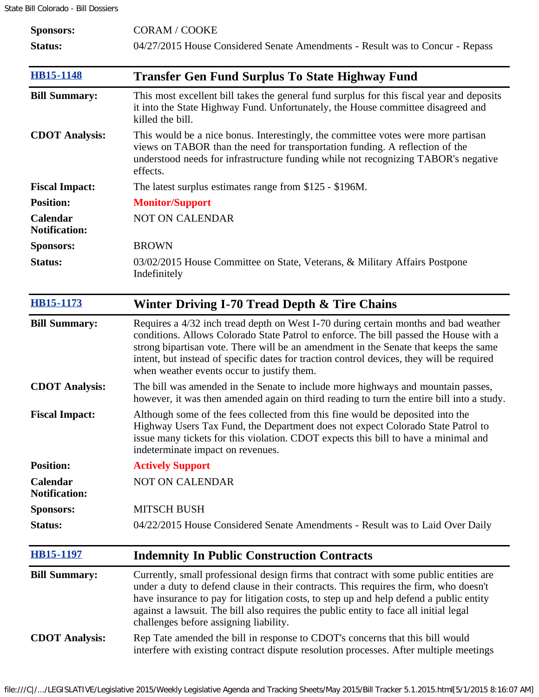State Bill Colorado - Bill Dossiers

| <b>Sponsors:</b>                 | <b>CORAM / COOKE</b>                                                                                                                                                                                                                                                                                                                                                                                            |
|----------------------------------|-----------------------------------------------------------------------------------------------------------------------------------------------------------------------------------------------------------------------------------------------------------------------------------------------------------------------------------------------------------------------------------------------------------------|
| Status:                          | 04/27/2015 House Considered Senate Amendments - Result was to Concur - Repass                                                                                                                                                                                                                                                                                                                                   |
| <b>HB15-1148</b>                 | <b>Transfer Gen Fund Surplus To State Highway Fund</b>                                                                                                                                                                                                                                                                                                                                                          |
| <b>Bill Summary:</b>             | This most excellent bill takes the general fund surplus for this fiscal year and deposits<br>it into the State Highway Fund. Unfortunately, the House committee disagreed and<br>killed the bill.                                                                                                                                                                                                               |
| <b>CDOT</b> Analysis:            | This would be a nice bonus. Interestingly, the committee votes were more partisan<br>views on TABOR than the need for transportation funding. A reflection of the<br>understood needs for infrastructure funding while not recognizing TABOR's negative<br>effects.                                                                                                                                             |
| <b>Fiscal Impact:</b>            | The latest surplus estimates range from \$125 - \$196M.                                                                                                                                                                                                                                                                                                                                                         |
| <b>Position:</b>                 | <b>Monitor/Support</b>                                                                                                                                                                                                                                                                                                                                                                                          |
| Calendar<br><b>Notification:</b> | <b>NOT ON CALENDAR</b>                                                                                                                                                                                                                                                                                                                                                                                          |
| <b>Sponsors:</b>                 | <b>BROWN</b>                                                                                                                                                                                                                                                                                                                                                                                                    |
| Status:                          | 03/02/2015 House Committee on State, Veterans, & Military Affairs Postpone<br>Indefinitely                                                                                                                                                                                                                                                                                                                      |
| <b>HB15-1173</b>                 | Winter Driving I-70 Tread Depth & Tire Chains                                                                                                                                                                                                                                                                                                                                                                   |
| <b>Bill Summary:</b>             | Requires a 4/32 inch tread depth on West I-70 during certain months and bad weather<br>conditions. Allows Colorado State Patrol to enforce. The bill passed the House with a<br>strong bipartisan vote. There will be an amendment in the Senate that keeps the same<br>intent, but instead of specific dates for traction control devices, they will be required<br>when weather events occur to justify them. |
| <b>CDOT</b> Analysis:            | The bill was amended in the Senate to include more highways and mountain passes,<br>however, it was then amended again on third reading to turn the entire bill into a study.                                                                                                                                                                                                                                   |
| <b>Fiscal Impact:</b>            | Although some of the fees collected from this fine would be deposited into the<br>Highway Users Tax Fund, the Department does not expect Colorado State Patrol to<br>issue many tickets for this violation. CDOT expects this bill to have a minimal and<br>indeterminate impact on revenues.                                                                                                                   |
| <b>Position:</b>                 | <b>Actively Support</b>                                                                                                                                                                                                                                                                                                                                                                                         |
| Calendar<br><b>Notification:</b> | <b>NOT ON CALENDAR</b>                                                                                                                                                                                                                                                                                                                                                                                          |
| <b>Sponsors:</b>                 | <b>MITSCH BUSH</b>                                                                                                                                                                                                                                                                                                                                                                                              |
| Status:                          | 04/22/2015 House Considered Senate Amendments - Result was to Laid Over Daily                                                                                                                                                                                                                                                                                                                                   |
| <b>HB15-1197</b>                 | <b>Indemnity In Public Construction Contracts</b>                                                                                                                                                                                                                                                                                                                                                               |
| <b>Bill Summary:</b>             | Currently, small professional design firms that contract with some public entities are<br>under a duty to defend clause in their contracts. This requires the firm, who doesn't<br>have insurance to pay for litigation costs, to step up and help defend a public entity<br>against a lawsuit. The bill also requires the public entity to face all initial legal<br>challenges before assigning liability.    |
| <b>CDOT</b> Analysis:            | Rep Tate amended the bill in response to CDOT's concerns that this bill would<br>interfere with existing contract dispute resolution processes. After multiple meetings                                                                                                                                                                                                                                         |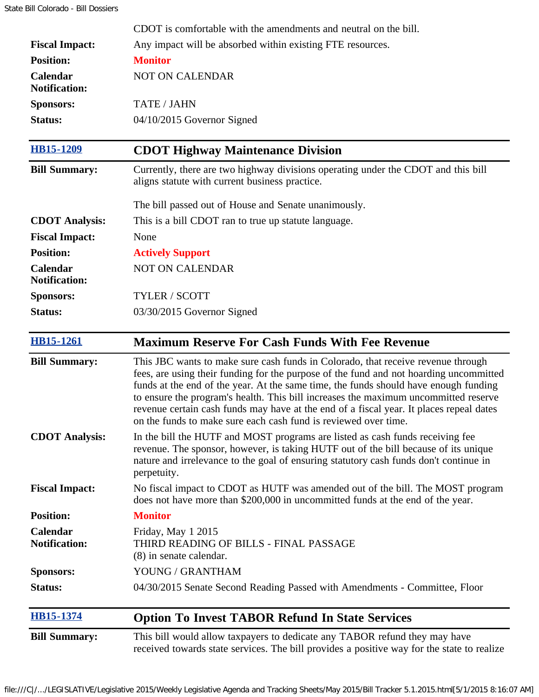|                                         | CDOT is comfortable with the amendments and neutral on the bill.                                                                                                                                                                                                                                                                                                                                                                                                                                                        |
|-----------------------------------------|-------------------------------------------------------------------------------------------------------------------------------------------------------------------------------------------------------------------------------------------------------------------------------------------------------------------------------------------------------------------------------------------------------------------------------------------------------------------------------------------------------------------------|
| <b>Fiscal Impact:</b>                   | Any impact will be absorbed within existing FTE resources.                                                                                                                                                                                                                                                                                                                                                                                                                                                              |
| <b>Position:</b>                        | <b>Monitor</b>                                                                                                                                                                                                                                                                                                                                                                                                                                                                                                          |
| Calendar<br><b>Notification:</b>        | NOT ON CALENDAR                                                                                                                                                                                                                                                                                                                                                                                                                                                                                                         |
| <b>Sponsors:</b>                        | <b>TATE / JAHN</b>                                                                                                                                                                                                                                                                                                                                                                                                                                                                                                      |
| <b>Status:</b>                          | 04/10/2015 Governor Signed                                                                                                                                                                                                                                                                                                                                                                                                                                                                                              |
| HB15-1209                               | <b>CDOT Highway Maintenance Division</b>                                                                                                                                                                                                                                                                                                                                                                                                                                                                                |
| <b>Bill Summary:</b>                    | Currently, there are two highway divisions operating under the CDOT and this bill<br>aligns statute with current business practice.                                                                                                                                                                                                                                                                                                                                                                                     |
|                                         | The bill passed out of House and Senate unanimously.                                                                                                                                                                                                                                                                                                                                                                                                                                                                    |
| <b>CDOT</b> Analysis:                   | This is a bill CDOT ran to true up statute language.                                                                                                                                                                                                                                                                                                                                                                                                                                                                    |
| <b>Fiscal Impact:</b>                   | None                                                                                                                                                                                                                                                                                                                                                                                                                                                                                                                    |
| <b>Position:</b>                        | <b>Actively Support</b>                                                                                                                                                                                                                                                                                                                                                                                                                                                                                                 |
| Calendar<br><b>Notification:</b>        | <b>NOT ON CALENDAR</b>                                                                                                                                                                                                                                                                                                                                                                                                                                                                                                  |
| <b>Sponsors:</b>                        | TYLER / SCOTT                                                                                                                                                                                                                                                                                                                                                                                                                                                                                                           |
| Status:                                 | 03/30/2015 Governor Signed                                                                                                                                                                                                                                                                                                                                                                                                                                                                                              |
| <b>HB15-1261</b>                        | <b>Maximum Reserve For Cash Funds With Fee Revenue</b>                                                                                                                                                                                                                                                                                                                                                                                                                                                                  |
| <b>Bill Summary:</b>                    | This JBC wants to make sure cash funds in Colorado, that receive revenue through<br>fees, are using their funding for the purpose of the fund and not hoarding uncommitted<br>funds at the end of the year. At the same time, the funds should have enough funding<br>to ensure the program's health. This bill increases the maximum uncommitted reserve<br>revenue certain cash funds may have at the end of a fiscal year. It places repeal dates<br>on the funds to make sure each cash fund is reviewed over time. |
| <b>CDOT</b> Analysis:                   | In the bill the HUTF and MOST programs are listed as cash funds receiving fee<br>revenue. The sponsor, however, is taking HUTF out of the bill because of its unique<br>nature and irrelevance to the goal of ensuring statutory cash funds don't continue in<br>perpetuity.                                                                                                                                                                                                                                            |
| <b>Fiscal Impact:</b>                   | No fiscal impact to CDOT as HUTF was amended out of the bill. The MOST program<br>does not have more than \$200,000 in uncommitted funds at the end of the year.                                                                                                                                                                                                                                                                                                                                                        |
| <b>Position:</b>                        | <b>Monitor</b>                                                                                                                                                                                                                                                                                                                                                                                                                                                                                                          |
| <b>Calendar</b><br><b>Notification:</b> | Friday, May 1 2015<br>THIRD READING OF BILLS - FINAL PASSAGE<br>(8) in senate calendar.                                                                                                                                                                                                                                                                                                                                                                                                                                 |
| <b>Sponsors:</b>                        | YOUNG / GRANTHAM                                                                                                                                                                                                                                                                                                                                                                                                                                                                                                        |
| Status:                                 | 04/30/2015 Senate Second Reading Passed with Amendments - Committee, Floor                                                                                                                                                                                                                                                                                                                                                                                                                                              |
| <b>HB15-1374</b>                        | <b>Option To Invest TABOR Refund In State Services</b>                                                                                                                                                                                                                                                                                                                                                                                                                                                                  |
| <b>Bill Summary:</b>                    | This bill would allow taxpayers to dedicate any TABOR refund they may have<br>received towards state services. The bill provides a positive way for the state to realize                                                                                                                                                                                                                                                                                                                                                |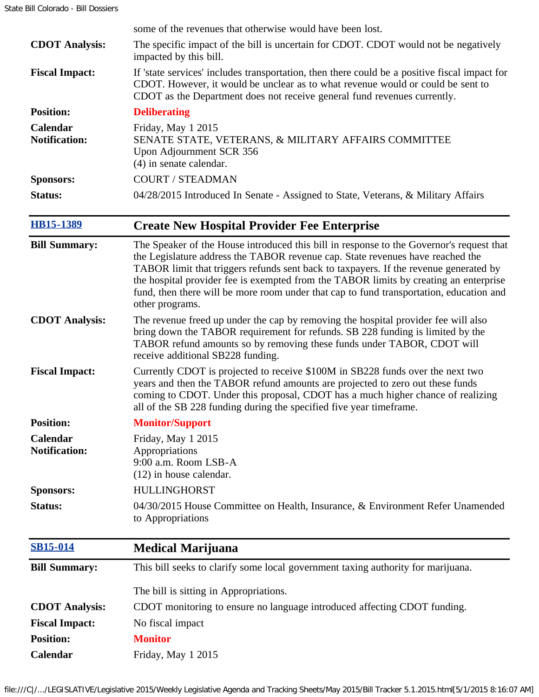|                                  | some of the revenues that otherwise would have been lost.                                                                                                                                                                                                                                                                                                                                                                                                                  |
|----------------------------------|----------------------------------------------------------------------------------------------------------------------------------------------------------------------------------------------------------------------------------------------------------------------------------------------------------------------------------------------------------------------------------------------------------------------------------------------------------------------------|
| <b>CDOT</b> Analysis:            | The specific impact of the bill is uncertain for CDOT. CDOT would not be negatively<br>impacted by this bill.                                                                                                                                                                                                                                                                                                                                                              |
| <b>Fiscal Impact:</b>            | If 'state services' includes transportation, then there could be a positive fiscal impact for<br>CDOT. However, it would be unclear as to what revenue would or could be sent to<br>CDOT as the Department does not receive general fund revenues currently.                                                                                                                                                                                                               |
| <b>Position:</b>                 | <b>Deliberating</b>                                                                                                                                                                                                                                                                                                                                                                                                                                                        |
| Calendar<br><b>Notification:</b> | Friday, May 1 2015<br>SENATE STATE, VETERANS, & MILITARY AFFAIRS COMMITTEE<br>Upon Adjournment SCR 356<br>(4) in senate calendar.                                                                                                                                                                                                                                                                                                                                          |
| <b>Sponsors:</b>                 | <b>COURT / STEADMAN</b>                                                                                                                                                                                                                                                                                                                                                                                                                                                    |
| Status:                          | 04/28/2015 Introduced In Senate - Assigned to State, Veterans, & Military Affairs                                                                                                                                                                                                                                                                                                                                                                                          |
| <b>HB15-1389</b>                 | <b>Create New Hospital Provider Fee Enterprise</b>                                                                                                                                                                                                                                                                                                                                                                                                                         |
| <b>Bill Summary:</b>             | The Speaker of the House introduced this bill in response to the Governor's request that<br>the Legislature address the TABOR revenue cap. State revenues have reached the<br>TABOR limit that triggers refunds sent back to taxpayers. If the revenue generated by<br>the hospital provider fee is exempted from the TABOR limits by creating an enterprise<br>fund, then there will be more room under that cap to fund transportation, education and<br>other programs. |
| <b>CDOT Analysis:</b>            | The revenue freed up under the cap by removing the hospital provider fee will also<br>bring down the TABOR requirement for refunds. SB 228 funding is limited by the<br>TABOR refund amounts so by removing these funds under TABOR, CDOT will<br>receive additional SB228 funding.                                                                                                                                                                                        |
| <b>Fiscal Impact:</b>            | Currently CDOT is projected to receive \$100M in SB228 funds over the next two<br>years and then the TABOR refund amounts are projected to zero out these funds<br>coming to CDOT. Under this proposal, CDOT has a much higher chance of realizing<br>all of the SB 228 funding during the specified five year timeframe.                                                                                                                                                  |
| <b>Position:</b>                 | <b>Monitor/Support</b>                                                                                                                                                                                                                                                                                                                                                                                                                                                     |
| Calendar<br><b>Notification:</b> | Friday, May 1 2015<br>Appropriations<br>9:00 a.m. Room LSB-A<br>$(12)$ in house calendar.                                                                                                                                                                                                                                                                                                                                                                                  |
| <b>Sponsors:</b>                 | <b>HULLINGHORST</b>                                                                                                                                                                                                                                                                                                                                                                                                                                                        |
| Status:                          | 04/30/2015 House Committee on Health, Insurance, & Environment Refer Unamended<br>to Appropriations                                                                                                                                                                                                                                                                                                                                                                        |
| <b>SB15-014</b>                  | <b>Medical Marijuana</b>                                                                                                                                                                                                                                                                                                                                                                                                                                                   |
| <b>Bill Summary:</b>             | This bill seeks to clarify some local government taxing authority for marijuana.                                                                                                                                                                                                                                                                                                                                                                                           |
|                                  | The bill is sitting in Appropriations.                                                                                                                                                                                                                                                                                                                                                                                                                                     |
| <b>CDOT</b> Analysis:            | CDOT monitoring to ensure no language introduced affecting CDOT funding.                                                                                                                                                                                                                                                                                                                                                                                                   |
| <b>Fiscal Impact:</b>            | No fiscal impact                                                                                                                                                                                                                                                                                                                                                                                                                                                           |
| <b>Position:</b>                 | <b>Monitor</b>                                                                                                                                                                                                                                                                                                                                                                                                                                                             |
| Calendar                         | Friday, May 1 2015                                                                                                                                                                                                                                                                                                                                                                                                                                                         |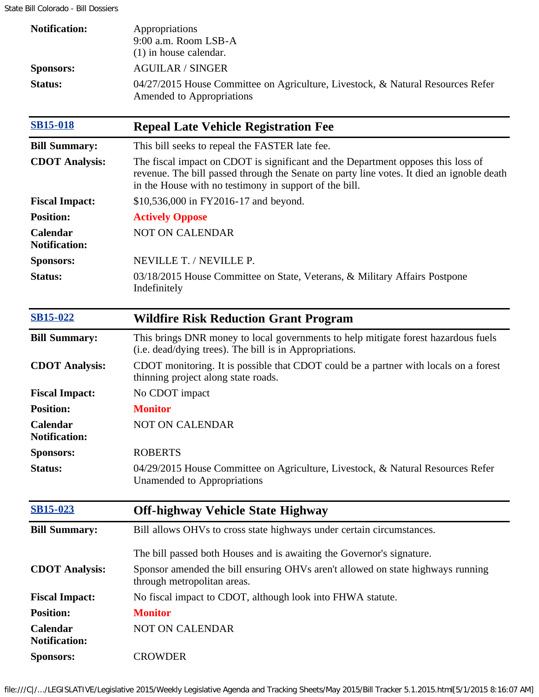State Bill Colorado - Bill Dossiers

| <b>Notification:</b>             | Appropriations<br>9:00 a.m. Room LSB-A<br>$(1)$ in house calendar.                                                                                                                                                                      |
|----------------------------------|-----------------------------------------------------------------------------------------------------------------------------------------------------------------------------------------------------------------------------------------|
| <b>Sponsors:</b>                 | <b>AGUILAR / SINGER</b>                                                                                                                                                                                                                 |
| <b>Status:</b>                   | 04/27/2015 House Committee on Agriculture, Livestock, & Natural Resources Refer<br>Amended to Appropriations                                                                                                                            |
| <b>SB15-018</b>                  | <b>Repeal Late Vehicle Registration Fee</b>                                                                                                                                                                                             |
| <b>Bill Summary:</b>             | This bill seeks to repeal the FASTER late fee.                                                                                                                                                                                          |
| <b>CDOT</b> Analysis:            | The fiscal impact on CDOT is significant and the Department opposes this loss of<br>revenue. The bill passed through the Senate on party line votes. It died an ignoble death<br>in the House with no testimony in support of the bill. |
| <b>Fiscal Impact:</b>            | \$10,536,000 in FY2016-17 and beyond.                                                                                                                                                                                                   |
| <b>Position:</b>                 | <b>Actively Oppose</b>                                                                                                                                                                                                                  |
| Calendar<br><b>Notification:</b> | <b>NOT ON CALENDAR</b>                                                                                                                                                                                                                  |
| <b>Sponsors:</b>                 | NEVILLE T. / NEVILLE P.                                                                                                                                                                                                                 |
| <b>Status:</b>                   | 03/18/2015 House Committee on State, Veterans, & Military Affairs Postpone<br>Indefinitely                                                                                                                                              |
| <b>SB15-022</b>                  | <b>Wildfire Risk Reduction Grant Program</b>                                                                                                                                                                                            |
| <b>Bill Summary:</b>             | This brings DNR money to local governments to help mitigate forest hazardous fuels<br>(i.e. dead/dying trees). The bill is in Appropriations.                                                                                           |
| <b>CDOT</b> Analysis:            | CDOT monitoring. It is possible that CDOT could be a partner with locals on a forest<br>thinning project along state roads.                                                                                                             |
| <b>Fiscal Impact:</b>            | No CDOT impact                                                                                                                                                                                                                          |
| <b>Position:</b>                 | <b>Monitor</b>                                                                                                                                                                                                                          |
| Calendar<br><b>Notification:</b> | <b>NOT ON CALENDAR</b>                                                                                                                                                                                                                  |
| <b>Sponsors:</b>                 | <b>ROBERTS</b>                                                                                                                                                                                                                          |
| <b>Status:</b>                   | 04/29/2015 House Committee on Agriculture, Livestock, & Natural Resources Refer<br>Unamended to Appropriations                                                                                                                          |
| <b>SB15-023</b>                  | <b>Off-highway Vehicle State Highway</b>                                                                                                                                                                                                |
| <b>Bill Summary:</b>             | Bill allows OHVs to cross state highways under certain circumstances.                                                                                                                                                                   |
|                                  | The bill passed both Houses and is awaiting the Governor's signature.                                                                                                                                                                   |
| <b>CDOT</b> Analysis:            | Sponsor amended the bill ensuring OHVs aren't allowed on state highways running<br>through metropolitan areas.                                                                                                                          |
| <b>Fiscal Impact:</b>            | No fiscal impact to CDOT, although look into FHWA statute.                                                                                                                                                                              |
| <b>Position:</b>                 | <b>Monitor</b>                                                                                                                                                                                                                          |
| Calendar<br><b>Notification:</b> | NOT ON CALENDAR                                                                                                                                                                                                                         |
| <b>Sponsors:</b>                 | <b>CROWDER</b>                                                                                                                                                                                                                          |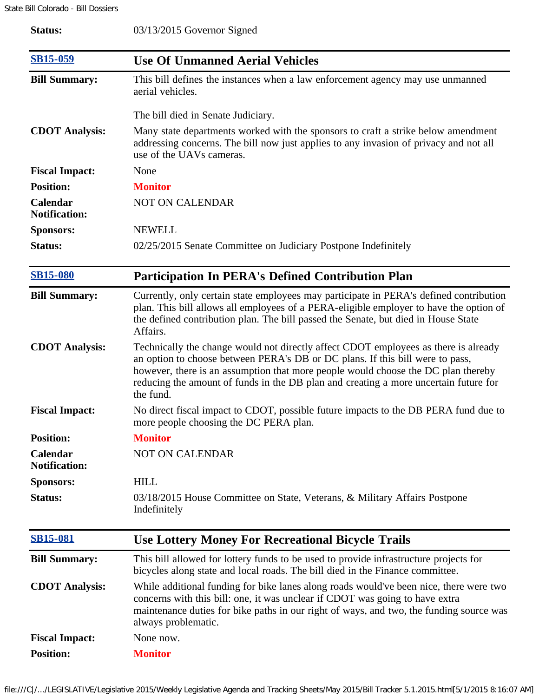| Status:                          | 03/13/2015 Governor Signed                                                                                                                                                                                                                                                                                                                                     |
|----------------------------------|----------------------------------------------------------------------------------------------------------------------------------------------------------------------------------------------------------------------------------------------------------------------------------------------------------------------------------------------------------------|
| <b>SB15-059</b>                  | <b>Use Of Unmanned Aerial Vehicles</b>                                                                                                                                                                                                                                                                                                                         |
| <b>Bill Summary:</b>             | This bill defines the instances when a law enforcement agency may use unmanned<br>aerial vehicles.                                                                                                                                                                                                                                                             |
|                                  | The bill died in Senate Judiciary.                                                                                                                                                                                                                                                                                                                             |
| <b>CDOT</b> Analysis:            | Many state departments worked with the sponsors to craft a strike below amendment<br>addressing concerns. The bill now just applies to any invasion of privacy and not all<br>use of the UAVs cameras.                                                                                                                                                         |
| <b>Fiscal Impact:</b>            | None                                                                                                                                                                                                                                                                                                                                                           |
| <b>Position:</b>                 | <b>Monitor</b>                                                                                                                                                                                                                                                                                                                                                 |
| Calendar<br><b>Notification:</b> | <b>NOT ON CALENDAR</b>                                                                                                                                                                                                                                                                                                                                         |
| <b>Sponsors:</b>                 | <b>NEWELL</b>                                                                                                                                                                                                                                                                                                                                                  |
| Status:                          | 02/25/2015 Senate Committee on Judiciary Postpone Indefinitely                                                                                                                                                                                                                                                                                                 |
| <b>SB15-080</b>                  | <b>Participation In PERA's Defined Contribution Plan</b>                                                                                                                                                                                                                                                                                                       |
| <b>Bill Summary:</b>             | Currently, only certain state employees may participate in PERA's defined contribution<br>plan. This bill allows all employees of a PERA-eligible employer to have the option of<br>the defined contribution plan. The bill passed the Senate, but died in House State<br>Affairs.                                                                             |
| <b>CDOT</b> Analysis:            | Technically the change would not directly affect CDOT employees as there is already<br>an option to choose between PERA's DB or DC plans. If this bill were to pass,<br>however, there is an assumption that more people would choose the DC plan thereby<br>reducing the amount of funds in the DB plan and creating a more uncertain future for<br>the fund. |
| <b>Fiscal Impact:</b>            | No direct fiscal impact to CDOT, possible future impacts to the DB PERA fund due to<br>more people choosing the DC PERA plan.                                                                                                                                                                                                                                  |
| <b>Position:</b>                 | <b>Monitor</b>                                                                                                                                                                                                                                                                                                                                                 |
| Calendar<br><b>Notification:</b> | <b>NOT ON CALENDAR</b>                                                                                                                                                                                                                                                                                                                                         |
| <b>Sponsors:</b>                 | <b>HILL</b>                                                                                                                                                                                                                                                                                                                                                    |
| Status:                          | 03/18/2015 House Committee on State, Veterans, & Military Affairs Postpone<br>Indefinitely                                                                                                                                                                                                                                                                     |
| <b>SB15-081</b>                  | <b>Use Lottery Money For Recreational Bicycle Trails</b>                                                                                                                                                                                                                                                                                                       |
| <b>Bill Summary:</b>             | This bill allowed for lottery funds to be used to provide infrastructure projects for<br>bicycles along state and local roads. The bill died in the Finance committee.                                                                                                                                                                                         |
| <b>CDOT</b> Analysis:            | While additional funding for bike lanes along roads would've been nice, there were two<br>concerns with this bill: one, it was unclear if CDOT was going to have extra<br>maintenance duties for bike paths in our right of ways, and two, the funding source was<br>always problematic.                                                                       |
| <b>Fiscal Impact:</b>            | None now.                                                                                                                                                                                                                                                                                                                                                      |
| <b>Position:</b>                 | <b>Monitor</b>                                                                                                                                                                                                                                                                                                                                                 |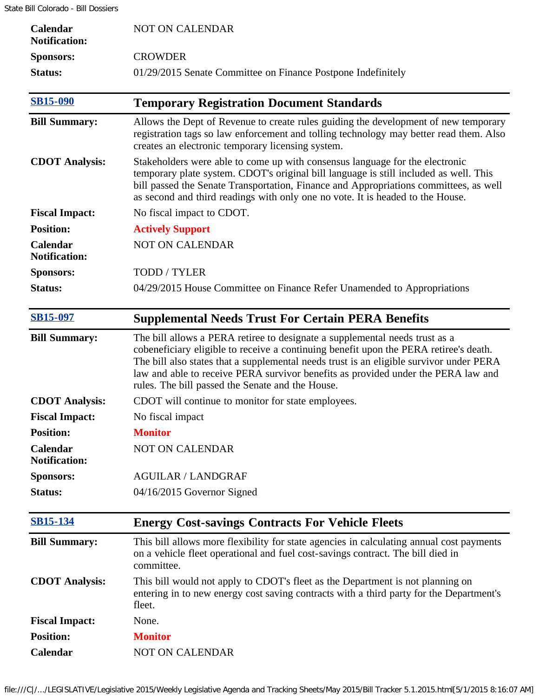| Calendar<br><b>Notification:</b>        | <b>NOT ON CALENDAR</b>                                                                                                                                                                                                                                                                                                                                                                                   |
|-----------------------------------------|----------------------------------------------------------------------------------------------------------------------------------------------------------------------------------------------------------------------------------------------------------------------------------------------------------------------------------------------------------------------------------------------------------|
| <b>Sponsors:</b>                        | <b>CROWDER</b>                                                                                                                                                                                                                                                                                                                                                                                           |
| Status:                                 | 01/29/2015 Senate Committee on Finance Postpone Indefinitely                                                                                                                                                                                                                                                                                                                                             |
| <b>SB15-090</b>                         | <b>Temporary Registration Document Standards</b>                                                                                                                                                                                                                                                                                                                                                         |
| <b>Bill Summary:</b>                    | Allows the Dept of Revenue to create rules guiding the development of new temporary<br>registration tags so law enforcement and tolling technology may better read them. Also<br>creates an electronic temporary licensing system.                                                                                                                                                                       |
| <b>CDOT</b> Analysis:                   | Stakeholders were able to come up with consensus language for the electronic<br>temporary plate system. CDOT's original bill language is still included as well. This<br>bill passed the Senate Transportation, Finance and Appropriations committees, as well<br>as second and third readings with only one no vote. It is headed to the House.                                                         |
| <b>Fiscal Impact:</b>                   | No fiscal impact to CDOT.                                                                                                                                                                                                                                                                                                                                                                                |
| <b>Position:</b>                        | <b>Actively Support</b>                                                                                                                                                                                                                                                                                                                                                                                  |
| Calendar<br><b>Notification:</b>        | <b>NOT ON CALENDAR</b>                                                                                                                                                                                                                                                                                                                                                                                   |
| <b>Sponsors:</b>                        | TODD / TYLER                                                                                                                                                                                                                                                                                                                                                                                             |
| <b>Status:</b>                          | 04/29/2015 House Committee on Finance Refer Unamended to Appropriations                                                                                                                                                                                                                                                                                                                                  |
| <b>SB15-097</b>                         | <b>Supplemental Needs Trust For Certain PERA Benefits</b>                                                                                                                                                                                                                                                                                                                                                |
| <b>Bill Summary:</b>                    | The bill allows a PERA retiree to designate a supplemental needs trust as a<br>cobeneficiary eligible to receive a continuing benefit upon the PERA retiree's death.<br>The bill also states that a supplemental needs trust is an eligible survivor under PERA<br>law and able to receive PERA survivor benefits as provided under the PERA law and<br>rules. The bill passed the Senate and the House. |
| <b>CDOT</b> Analysis:                   | CDOT will continue to monitor for state employees.                                                                                                                                                                                                                                                                                                                                                       |
| <b>Fiscal Impact:</b>                   | No fiscal impact                                                                                                                                                                                                                                                                                                                                                                                         |
| <b>Position:</b>                        | <b>Monitor</b>                                                                                                                                                                                                                                                                                                                                                                                           |
| <b>Calendar</b><br><b>Notification:</b> | <b>NOT ON CALENDAR</b>                                                                                                                                                                                                                                                                                                                                                                                   |
| <b>Sponsors:</b>                        | <b>AGUILAR / LANDGRAF</b>                                                                                                                                                                                                                                                                                                                                                                                |
| <b>Status:</b>                          | 04/16/2015 Governor Signed                                                                                                                                                                                                                                                                                                                                                                               |
| <b>SB15-134</b>                         | <b>Energy Cost-savings Contracts For Vehicle Fleets</b>                                                                                                                                                                                                                                                                                                                                                  |
| <b>Bill Summary:</b>                    | This bill allows more flexibility for state agencies in calculating annual cost payments<br>on a vehicle fleet operational and fuel cost-savings contract. The bill died in<br>committee.                                                                                                                                                                                                                |
| <b>CDOT</b> Analysis:                   | This bill would not apply to CDOT's fleet as the Department is not planning on<br>entering in to new energy cost saving contracts with a third party for the Department's<br>fleet.                                                                                                                                                                                                                      |
| <b>Fiscal Impact:</b>                   | None.                                                                                                                                                                                                                                                                                                                                                                                                    |
| <b>Position:</b>                        | <b>Monitor</b>                                                                                                                                                                                                                                                                                                                                                                                           |
| Calendar                                | <b>NOT ON CALENDAR</b>                                                                                                                                                                                                                                                                                                                                                                                   |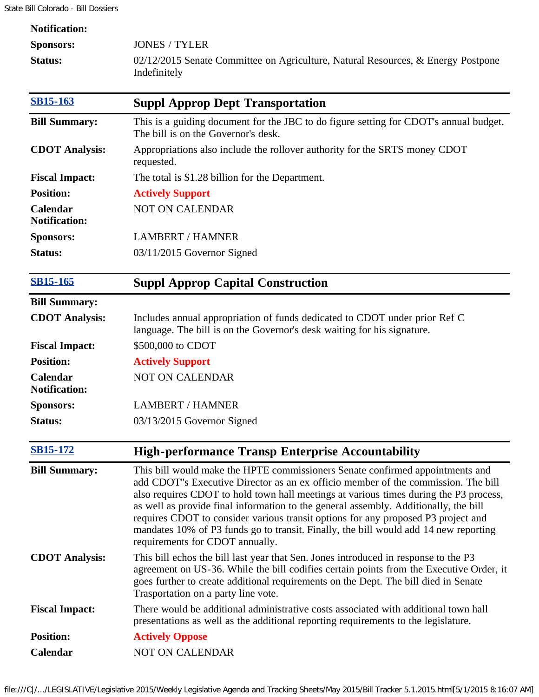| <b>Notification:</b>                    |                                                                                                                                                                                                                                                                                                                                                                                                                                                                                                                                                                     |
|-----------------------------------------|---------------------------------------------------------------------------------------------------------------------------------------------------------------------------------------------------------------------------------------------------------------------------------------------------------------------------------------------------------------------------------------------------------------------------------------------------------------------------------------------------------------------------------------------------------------------|
| <b>Sponsors:</b>                        | <b>JONES / TYLER</b>                                                                                                                                                                                                                                                                                                                                                                                                                                                                                                                                                |
| Status:                                 | $02/12/2015$ Senate Committee on Agriculture, Natural Resources, & Energy Postpone<br>Indefinitely                                                                                                                                                                                                                                                                                                                                                                                                                                                                  |
| <b>SB15-163</b>                         | <b>Suppl Approp Dept Transportation</b>                                                                                                                                                                                                                                                                                                                                                                                                                                                                                                                             |
| <b>Bill Summary:</b>                    | This is a guiding document for the JBC to do figure setting for CDOT's annual budget.<br>The bill is on the Governor's desk.                                                                                                                                                                                                                                                                                                                                                                                                                                        |
| <b>CDOT</b> Analysis:                   | Appropriations also include the rollover authority for the SRTS money CDOT<br>requested.                                                                                                                                                                                                                                                                                                                                                                                                                                                                            |
| <b>Fiscal Impact:</b>                   | The total is \$1.28 billion for the Department.                                                                                                                                                                                                                                                                                                                                                                                                                                                                                                                     |
| <b>Position:</b>                        | <b>Actively Support</b>                                                                                                                                                                                                                                                                                                                                                                                                                                                                                                                                             |
| Calendar<br><b>Notification:</b>        | <b>NOT ON CALENDAR</b>                                                                                                                                                                                                                                                                                                                                                                                                                                                                                                                                              |
| <b>Sponsors:</b>                        | <b>LAMBERT / HAMNER</b>                                                                                                                                                                                                                                                                                                                                                                                                                                                                                                                                             |
| Status:                                 | 03/11/2015 Governor Signed                                                                                                                                                                                                                                                                                                                                                                                                                                                                                                                                          |
| <b>SB15-165</b>                         | <b>Suppl Approp Capital Construction</b>                                                                                                                                                                                                                                                                                                                                                                                                                                                                                                                            |
| <b>Bill Summary:</b>                    |                                                                                                                                                                                                                                                                                                                                                                                                                                                                                                                                                                     |
| <b>CDOT</b> Analysis:                   | Includes annual appropriation of funds dedicated to CDOT under prior Ref C<br>language. The bill is on the Governor's desk waiting for his signature.                                                                                                                                                                                                                                                                                                                                                                                                               |
| <b>Fiscal Impact:</b>                   | \$500,000 to CDOT                                                                                                                                                                                                                                                                                                                                                                                                                                                                                                                                                   |
| <b>Position:</b>                        | <b>Actively Support</b>                                                                                                                                                                                                                                                                                                                                                                                                                                                                                                                                             |
| <b>Calendar</b><br><b>Notification:</b> | <b>NOT ON CALENDAR</b>                                                                                                                                                                                                                                                                                                                                                                                                                                                                                                                                              |
| <b>Sponsors:</b>                        | <b>LAMBERT / HAMNER</b>                                                                                                                                                                                                                                                                                                                                                                                                                                                                                                                                             |
| Status:                                 | 03/13/2015 Governor Signed                                                                                                                                                                                                                                                                                                                                                                                                                                                                                                                                          |
| <b>SB15-172</b>                         | <b>High-performance Transp Enterprise Accountability</b>                                                                                                                                                                                                                                                                                                                                                                                                                                                                                                            |
| <b>Bill Summary:</b>                    | This bill would make the HPTE commissioners Senate confirmed appointments and<br>add CDOT"s Executive Director as an ex officio member of the commission. The bill<br>also requires CDOT to hold town hall meetings at various times during the P3 process,<br>as well as provide final information to the general assembly. Additionally, the bill<br>requires CDOT to consider various transit options for any proposed P3 project and<br>mandates 10% of P3 funds go to transit. Finally, the bill would add 14 new reporting<br>requirements for CDOT annually. |
| <b>CDOT</b> Analysis:                   | This bill echos the bill last year that Sen. Jones introduced in response to the P3<br>agreement on US-36. While the bill codifies certain points from the Executive Order, it<br>goes further to create additional requirements on the Dept. The bill died in Senate<br>Trasportation on a party line vote.                                                                                                                                                                                                                                                        |
| <b>Fiscal Impact:</b>                   | There would be additional administrative costs associated with additional town hall<br>presentations as well as the additional reporting requirements to the legislature.                                                                                                                                                                                                                                                                                                                                                                                           |
| <b>Position:</b>                        | <b>Actively Oppose</b>                                                                                                                                                                                                                                                                                                                                                                                                                                                                                                                                              |
| Calendar                                | NOT ON CALENDAR                                                                                                                                                                                                                                                                                                                                                                                                                                                                                                                                                     |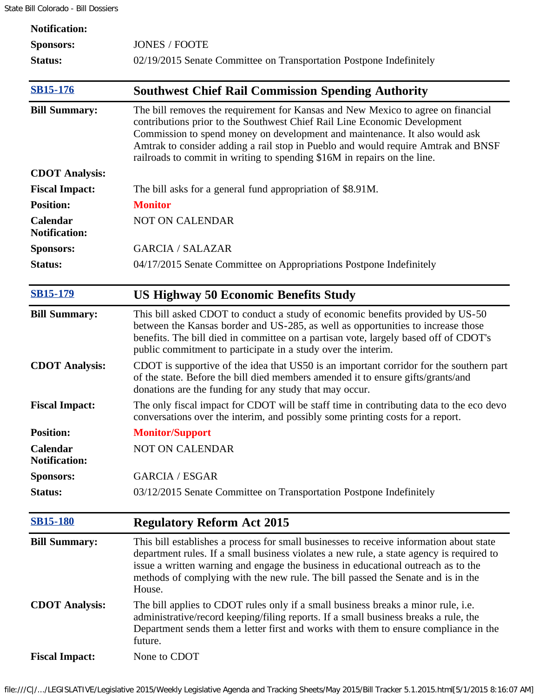| <b>Notification:</b>             |                                                                                                                                                                                                                                                                                                                                                                                                               |
|----------------------------------|---------------------------------------------------------------------------------------------------------------------------------------------------------------------------------------------------------------------------------------------------------------------------------------------------------------------------------------------------------------------------------------------------------------|
| <b>Sponsors:</b>                 | <b>JONES / FOOTE</b>                                                                                                                                                                                                                                                                                                                                                                                          |
| <b>Status:</b>                   | 02/19/2015 Senate Committee on Transportation Postpone Indefinitely                                                                                                                                                                                                                                                                                                                                           |
| <b>SB15-176</b>                  | <b>Southwest Chief Rail Commission Spending Authority</b>                                                                                                                                                                                                                                                                                                                                                     |
| <b>Bill Summary:</b>             | The bill removes the requirement for Kansas and New Mexico to agree on financial<br>contributions prior to the Southwest Chief Rail Line Economic Development<br>Commission to spend money on development and maintenance. It also would ask<br>Amtrak to consider adding a rail stop in Pueblo and would require Amtrak and BNSF<br>railroads to commit in writing to spending \$16M in repairs on the line. |
| <b>CDOT</b> Analysis:            |                                                                                                                                                                                                                                                                                                                                                                                                               |
| <b>Fiscal Impact:</b>            | The bill asks for a general fund appropriation of \$8.91M.                                                                                                                                                                                                                                                                                                                                                    |
| <b>Position:</b>                 | <b>Monitor</b>                                                                                                                                                                                                                                                                                                                                                                                                |
| Calendar<br><b>Notification:</b> | NOT ON CALENDAR                                                                                                                                                                                                                                                                                                                                                                                               |
| <b>Sponsors:</b>                 | <b>GARCIA / SALAZAR</b>                                                                                                                                                                                                                                                                                                                                                                                       |
| Status:                          | 04/17/2015 Senate Committee on Appropriations Postpone Indefinitely                                                                                                                                                                                                                                                                                                                                           |
| <b>SB15-179</b>                  | <b>US Highway 50 Economic Benefits Study</b>                                                                                                                                                                                                                                                                                                                                                                  |
| <b>Bill Summary:</b>             | This bill asked CDOT to conduct a study of economic benefits provided by US-50<br>between the Kansas border and US-285, as well as opportunities to increase those<br>benefits. The bill died in committee on a partisan vote, largely based off of CDOT's<br>public commitment to participate in a study over the interim.                                                                                   |
| <b>CDOT Analysis:</b>            | CDOT is supportive of the idea that US50 is an important corridor for the southern part<br>of the state. Before the bill died members amended it to ensure gifts/grants/and<br>donations are the funding for any study that may occur.                                                                                                                                                                        |
| <b>Fiscal Impact:</b>            | The only fiscal impact for CDOT will be staff time in contributing data to the eco devo<br>conversations over the interim, and possibly some printing costs for a report.                                                                                                                                                                                                                                     |
| <b>Position:</b>                 | <b>Monitor/Support</b>                                                                                                                                                                                                                                                                                                                                                                                        |
| Calendar<br><b>Notification:</b> | <b>NOT ON CALENDAR</b>                                                                                                                                                                                                                                                                                                                                                                                        |
| <b>Sponsors:</b>                 | <b>GARCIA / ESGAR</b>                                                                                                                                                                                                                                                                                                                                                                                         |
| Status:                          | 03/12/2015 Senate Committee on Transportation Postpone Indefinitely                                                                                                                                                                                                                                                                                                                                           |
| <b>SB15-180</b>                  | <b>Regulatory Reform Act 2015</b>                                                                                                                                                                                                                                                                                                                                                                             |
| <b>Bill Summary:</b>             | This bill establishes a process for small businesses to receive information about state<br>department rules. If a small business violates a new rule, a state agency is required to<br>issue a written warning and engage the business in educational outreach as to the<br>methods of complying with the new rule. The bill passed the Senate and is in the<br>House.                                        |
| <b>CDOT</b> Analysis:            | The bill applies to CDOT rules only if a small business breaks a minor rule, i.e.<br>administrative/record keeping/filing reports. If a small business breaks a rule, the<br>Department sends them a letter first and works with them to ensure compliance in the<br>future.                                                                                                                                  |
| <b>Fiscal Impact:</b>            | None to CDOT                                                                                                                                                                                                                                                                                                                                                                                                  |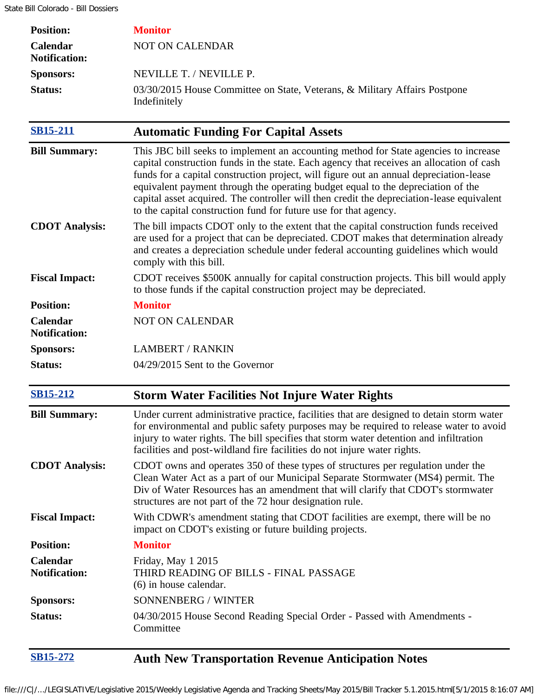| <b>Position:</b>                 | <b>Monitor</b>                                                                                                                                                                                                                                                                                                                                                                                                                                                                                                                  |
|----------------------------------|---------------------------------------------------------------------------------------------------------------------------------------------------------------------------------------------------------------------------------------------------------------------------------------------------------------------------------------------------------------------------------------------------------------------------------------------------------------------------------------------------------------------------------|
| Calendar<br><b>Notification:</b> | <b>NOT ON CALENDAR</b>                                                                                                                                                                                                                                                                                                                                                                                                                                                                                                          |
| <b>Sponsors:</b>                 | NEVILLE T. / NEVILLE P.                                                                                                                                                                                                                                                                                                                                                                                                                                                                                                         |
| <b>Status:</b>                   | 03/30/2015 House Committee on State, Veterans, & Military Affairs Postpone<br>Indefinitely                                                                                                                                                                                                                                                                                                                                                                                                                                      |
| <b>SB15-211</b>                  | <b>Automatic Funding For Capital Assets</b>                                                                                                                                                                                                                                                                                                                                                                                                                                                                                     |
| <b>Bill Summary:</b>             | This JBC bill seeks to implement an accounting method for State agencies to increase<br>capital construction funds in the state. Each agency that receives an allocation of cash<br>funds for a capital construction project, will figure out an annual depreciation-lease<br>equivalent payment through the operating budget equal to the depreciation of the<br>capital asset acquired. The controller will then credit the depreciation-lease equivalent<br>to the capital construction fund for future use for that agency. |
| <b>CDOT</b> Analysis:            | The bill impacts CDOT only to the extent that the capital construction funds received<br>are used for a project that can be depreciated. CDOT makes that determination already<br>and creates a depreciation schedule under federal accounting guidelines which would<br>comply with this bill.                                                                                                                                                                                                                                 |
| <b>Fiscal Impact:</b>            | CDOT receives \$500K annually for capital construction projects. This bill would apply<br>to those funds if the capital construction project may be depreciated.                                                                                                                                                                                                                                                                                                                                                                |
| <b>Position:</b>                 | <b>Monitor</b>                                                                                                                                                                                                                                                                                                                                                                                                                                                                                                                  |
| Calendar<br><b>Notification:</b> | <b>NOT ON CALENDAR</b>                                                                                                                                                                                                                                                                                                                                                                                                                                                                                                          |
| <b>Sponsors:</b>                 | <b>LAMBERT / RANKIN</b>                                                                                                                                                                                                                                                                                                                                                                                                                                                                                                         |
| Status:                          | 04/29/2015 Sent to the Governor                                                                                                                                                                                                                                                                                                                                                                                                                                                                                                 |
| <b>SB15-212</b>                  | <b>Storm Water Facilities Not Injure Water Rights</b>                                                                                                                                                                                                                                                                                                                                                                                                                                                                           |
| <b>Bill Summary:</b>             | Under current administrative practice, facilities that are designed to detain storm water<br>for environmental and public safety purposes may be required to release water to avoid<br>injury to water rights. The bill specifies that storm water detention and infiltration<br>facilities and post-wildland fire facilities do not injure water rights.                                                                                                                                                                       |
| <b>CDOT</b> Analysis:            | CDOT owns and operates 350 of these types of structures per regulation under the<br>Clean Water Act as a part of our Municipal Separate Stormwater (MS4) permit. The<br>Div of Water Resources has an amendment that will clarify that CDOT's stormwater<br>structures are not part of the 72 hour designation rule.                                                                                                                                                                                                            |
| <b>Fiscal Impact:</b>            | With CDWR's amendment stating that CDOT facilities are exempt, there will be no<br>impact on CDOT's existing or future building projects.                                                                                                                                                                                                                                                                                                                                                                                       |
| <b>Position:</b>                 | <b>Monitor</b>                                                                                                                                                                                                                                                                                                                                                                                                                                                                                                                  |
| Calendar<br><b>Notification:</b> | Friday, May 1 2015<br>THIRD READING OF BILLS - FINAL PASSAGE<br>(6) in house calendar.                                                                                                                                                                                                                                                                                                                                                                                                                                          |
| <b>Sponsors:</b>                 | SONNENBERG / WINTER                                                                                                                                                                                                                                                                                                                                                                                                                                                                                                             |
| <b>Status:</b>                   | 04/30/2015 House Second Reading Special Order - Passed with Amendments -<br>Committee                                                                                                                                                                                                                                                                                                                                                                                                                                           |
| SB15-272                         | <b>Auth New Transportation Revenue Anticipation Notes</b>                                                                                                                                                                                                                                                                                                                                                                                                                                                                       |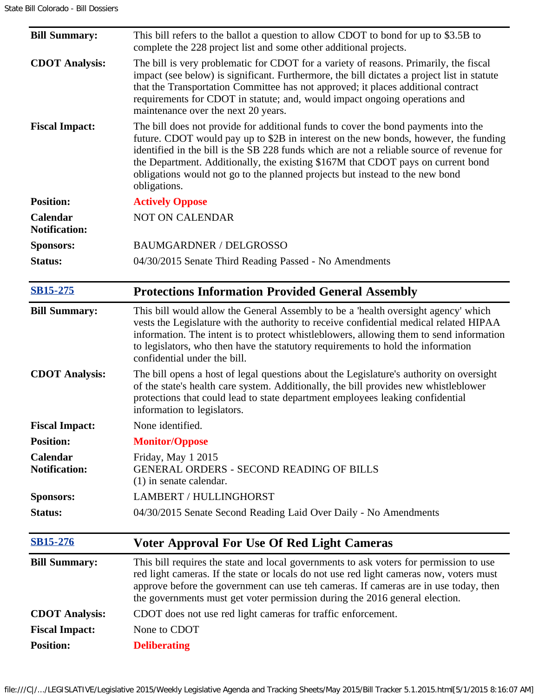| <b>Bill Summary:</b>             | This bill refers to the ballot a question to allow CDOT to bond for up to \$3.5B to<br>complete the 228 project list and some other additional projects.                                                                                                                                                                                                                                                                                                    |
|----------------------------------|-------------------------------------------------------------------------------------------------------------------------------------------------------------------------------------------------------------------------------------------------------------------------------------------------------------------------------------------------------------------------------------------------------------------------------------------------------------|
| <b>CDOT</b> Analysis:            | The bill is very problematic for CDOT for a variety of reasons. Primarily, the fiscal<br>impact (see below) is significant. Furthermore, the bill dictates a project list in statute<br>that the Transportation Committee has not approved; it places additional contract<br>requirements for CDOT in statute; and, would impact ongoing operations and<br>maintenance over the next 20 years.                                                              |
| <b>Fiscal Impact:</b>            | The bill does not provide for additional funds to cover the bond payments into the<br>future. CDOT would pay up to \$2B in interest on the new bonds, however, the funding<br>identified in the bill is the SB 228 funds which are not a reliable source of revenue for<br>the Department. Additionally, the existing \$167M that CDOT pays on current bond<br>obligations would not go to the planned projects but instead to the new bond<br>obligations. |
| <b>Position:</b>                 | <b>Actively Oppose</b>                                                                                                                                                                                                                                                                                                                                                                                                                                      |
| Calendar<br><b>Notification:</b> | <b>NOT ON CALENDAR</b>                                                                                                                                                                                                                                                                                                                                                                                                                                      |
| <b>Sponsors:</b>                 | <b>BAUMGARDNER / DELGROSSO</b>                                                                                                                                                                                                                                                                                                                                                                                                                              |
| Status:                          | 04/30/2015 Senate Third Reading Passed - No Amendments                                                                                                                                                                                                                                                                                                                                                                                                      |
| <b>SB15-275</b>                  | <b>Protections Information Provided General Assembly</b>                                                                                                                                                                                                                                                                                                                                                                                                    |
| <b>Bill Summary:</b>             | This bill would allow the General Assembly to be a 'health oversight agency' which<br>vests the Legislature with the authority to receive confidential medical related HIPAA<br>information. The intent is to protect whistleblowers, allowing them to send information<br>to legislators, who then have the statutory requirements to hold the information<br>confidential under the bill.                                                                 |
| <b>CDOT</b> Analysis:            | The bill opens a host of legal questions about the Legislature's authority on oversight<br>of the state's health care system. Additionally, the bill provides new whistleblower<br>protections that could lead to state department employees leaking confidential<br>information to legislators.                                                                                                                                                            |
| <b>Fiscal Impact:</b>            | None identified.                                                                                                                                                                                                                                                                                                                                                                                                                                            |
|                                  |                                                                                                                                                                                                                                                                                                                                                                                                                                                             |
| <b>Position:</b>                 | <b>Monitor/Oppose</b>                                                                                                                                                                                                                                                                                                                                                                                                                                       |
| Calendar<br><b>Notification:</b> | Friday, May 1 2015<br><b>GENERAL ORDERS - SECOND READING OF BILLS</b><br>$(1)$ in senate calendar.                                                                                                                                                                                                                                                                                                                                                          |
| <b>Sponsors:</b>                 | LAMBERT / HULLINGHORST                                                                                                                                                                                                                                                                                                                                                                                                                                      |
| Status:                          | 04/30/2015 Senate Second Reading Laid Over Daily - No Amendments                                                                                                                                                                                                                                                                                                                                                                                            |
| <b>SB15-276</b>                  | <b>Voter Approval For Use Of Red Light Cameras</b>                                                                                                                                                                                                                                                                                                                                                                                                          |
| <b>Bill Summary:</b>             | This bill requires the state and local governments to ask voters for permission to use<br>red light cameras. If the state or locals do not use red light cameras now, voters must<br>approve before the government can use teh cameras. If cameras are in use today, then<br>the governments must get voter permission during the 2016 general election.                                                                                                    |
| <b>CDOT</b> Analysis:            | CDOT does not use red light cameras for traffic enforcement.                                                                                                                                                                                                                                                                                                                                                                                                |
| <b>Fiscal Impact:</b>            | None to CDOT                                                                                                                                                                                                                                                                                                                                                                                                                                                |